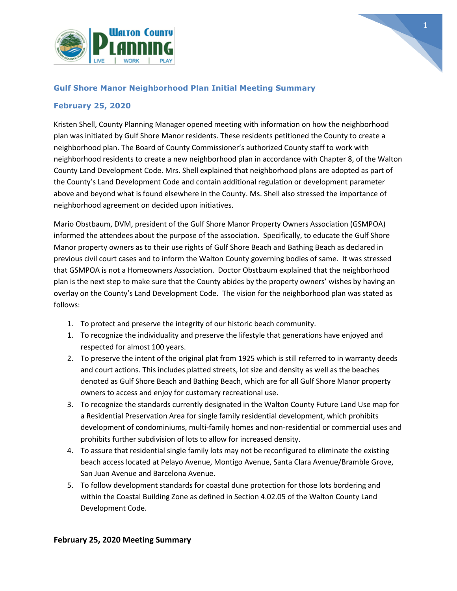



### **Gulf Shore Manor Neighborhood Plan Initial Meeting Summary**

### **February 25, 2020**

Kristen Shell, County Planning Manager opened meeting with information on how the neighborhood plan was initiated by Gulf Shore Manor residents. These residents petitioned the County to create a neighborhood plan. The Board of County Commissioner's authorized County staff to work with neighborhood residents to create a new neighborhood plan in accordance with Chapter 8, of the Walton County Land Development Code. Mrs. Shell explained that neighborhood plans are adopted as part of the County's Land Development Code and contain additional regulation or development parameter above and beyond what is found elsewhere in the County. Ms. Shell also stressed the importance of neighborhood agreement on decided upon initiatives.

Mario Obstbaum, DVM, president of the Gulf Shore Manor Property Owners Association (GSMPOA) informed the attendees about the purpose of the association. Specifically, to educate the Gulf Shore Manor property owners as to their use rights of Gulf Shore Beach and Bathing Beach as declared in previous civil court cases and to inform the Walton County governing bodies of same. It was stressed that GSMPOA is not a Homeowners Association. Doctor Obstbaum explained that the neighborhood plan is the next step to make sure that the County abides by the property owners' wishes by having an overlay on the County's Land Development Code. The vision for the neighborhood plan was stated as follows:

- 1. To protect and preserve the integrity of our historic beach community.
- 1. To recognize the individuality and preserve the lifestyle that generations have enjoyed and respected for almost 100 years.
- 2. To preserve the intent of the original plat from 1925 which is still referred to in warranty deeds and court actions. This includes platted streets, lot size and density as well as the beaches denoted as Gulf Shore Beach and Bathing Beach, which are for all Gulf Shore Manor property owners to access and enjoy for customary recreational use.
- 3. To recognize the standards currently designated in the Walton County Future Land Use map for a Residential Preservation Area for single family residential development, which prohibits development of condominiums, multi-family homes and non-residential or commercial uses and prohibits further subdivision of lots to allow for increased density.
- 4. To assure that residential single family lots may not be reconfigured to eliminate the existing beach access located at Pelayo Avenue, Montigo Avenue, Santa Clara Avenue/Bramble Grove, San Juan Avenue and Barcelona Avenue.
- 5. To follow development standards for coastal dune protection for those lots bordering and within the Coastal Building Zone as defined in Section 4.02.05 of the Walton County Land Development Code.

### **February 25, 2020 Meeting Summary**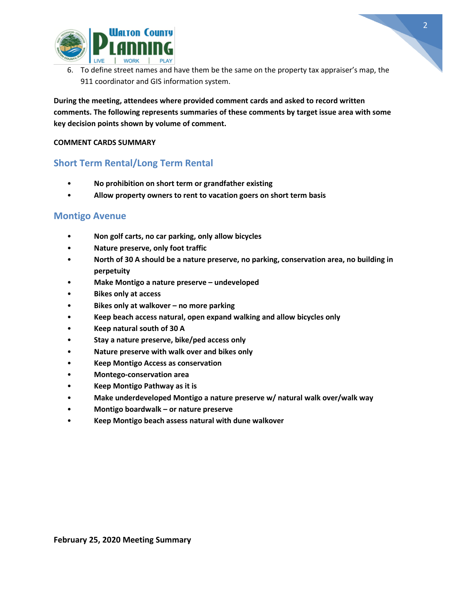

6. To define street names and have them be the same on the property tax appraiser's map, the 911 coordinator and GIS information system.

**During the meeting, attendees where provided comment cards and asked to record written comments. The following represents summaries of these comments by target issue area with some key decision points shown by volume of comment.** 

### **COMMENT CARDS SUMMARY**

## **Short Term Rental/Long Term Rental**

- **No prohibition on short term or grandfather existing**
- **Allow property owners to rent to vacation goers on short term basis**

### **Montigo Avenue**

- **Non golf carts, no car parking, only allow bicycles**
- **Nature preserve, only foot traffic**
- **North of 30 A should be a nature preserve, no parking, conservation area, no building in perpetuity**
- **Make Montigo a nature preserve – undeveloped**
- **Bikes only at access**
- **Bikes only at walkover – no more parking**
- **Keep beach access natural, open expand walking and allow bicycles only**
- **Keep natural south of 30 A**
- **Stay a nature preserve, bike/ped access only**
- **Nature preserve with walk over and bikes only**
- **Keep Montigo Access as conservation**
- **Montego-conservation area**
- **Keep Montigo Pathway as it is**
- **Make underdeveloped Montigo a nature preserve w/ natural walk over/walk way**
- **Montigo boardwalk – or nature preserve**
- **Keep Montigo beach assess natural with dune walkover**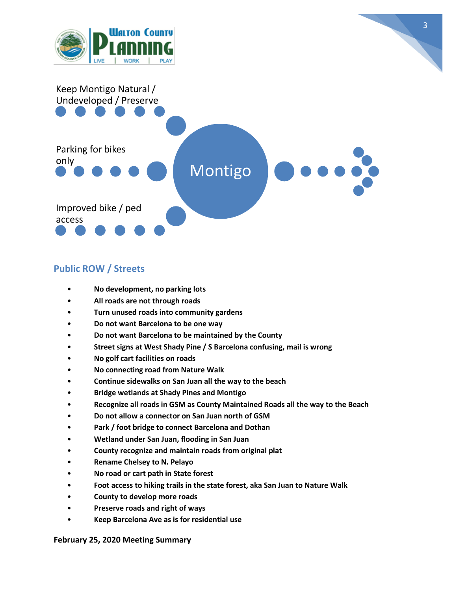



3

# **Public ROW / Streets**

- **No development, no parking lots**
- **All roads are not through roads**
- **Turn unused roads into community gardens**
- **Do not want Barcelona to be one way**
- **Do not want Barcelona to be maintained by the County**
- **Street signs at West Shady Pine / S Barcelona confusing, mail is wrong**
- **No golf cart facilities on roads**
- **No connecting road from Nature Walk**
- **Continue sidewalks on San Juan all the way to the beach**
- **Bridge wetlands at Shady Pines and Montigo**
- **Recognize all roads in GSM as County Maintained Roads all the way to the Beach**
- **Do not allow a connector on San Juan north of GSM**
- **Park / foot bridge to connect Barcelona and Dothan**
- **Wetland under San Juan, flooding in San Juan**
- **County recognize and maintain roads from original plat**
- **Rename Chelsey to N. Pelayo**
- **No road or cart path in State forest**
- **Foot access to hiking trails in the state forest, aka San Juan to Nature Walk**
- **County to develop more roads**
- **Preserve roads and right of ways**
- **Keep Barcelona Ave as is for residential use**

#### **February 25, 2020 Meeting Summary**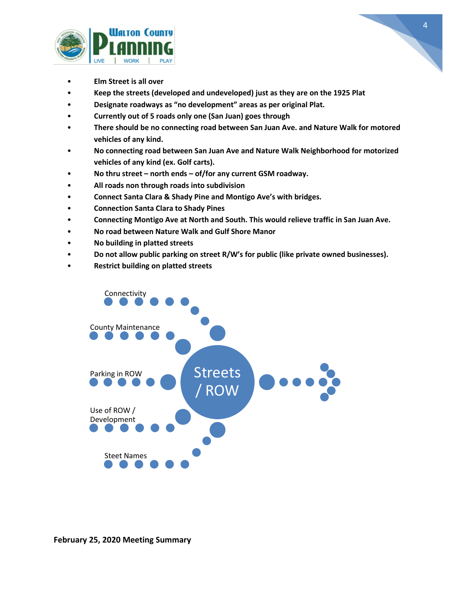



- **Elm Street is all over**
- **Keep the streets (developed and undeveloped) just as they are on the 1925 Plat**
- **Designate roadways as "no development" areas as per original Plat.**
- **Currently out of 5 roads only one (San Juan) goes through**
- **There should be no connecting road between San Juan Ave. and Nature Walk for motored vehicles of any kind.**
- **No connecting road between San Juan Ave and Nature Walk Neighborhood for motorized vehicles of any kind (ex. Golf carts).**
- **No thru street – north ends – of/for any current GSM roadway.**
- **All roads non through roads into subdivision**
- **Connect Santa Clara & Shady Pine and Montigo Ave's with bridges.**
- **Connection Santa Clara to Shady Pines**
- **Connecting Montigo Ave at North and South. This would relieve traffic in San Juan Ave.**
- **No road between Nature Walk and Gulf Shore Manor**
- **No building in platted streets**
- **Do not allow public parking on street R/W's for public (like private owned businesses).**
- **Restrict building on platted streets**

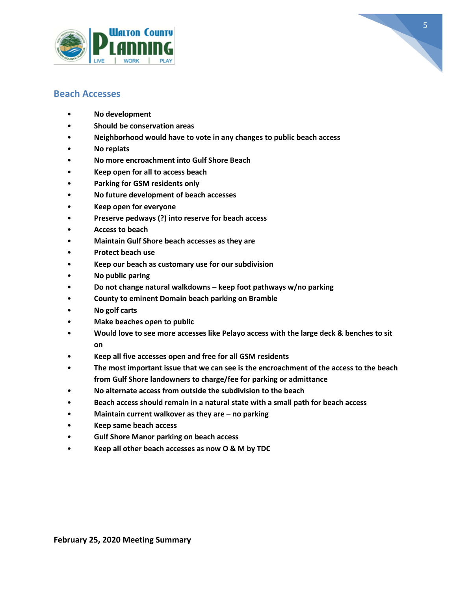



## **Beach Accesses**

- **No development**
- **Should be conservation areas**
- **Neighborhood would have to vote in any changes to public beach access**
- **No replats**
- **No more encroachment into Gulf Shore Beach**
- **Keep open for all to access beach**
- **Parking for GSM residents only**
- **No future development of beach accesses**
- **Keep open for everyone**
- **Preserve pedways (?) into reserve for beach access**
- **Access to beach**
- **Maintain Gulf Shore beach accesses as they are**
- **Protect beach use**
- **Keep our beach as customary use for our subdivision**
- **No public paring**
- **Do not change natural walkdowns – keep foot pathways w/no parking**
- **County to eminent Domain beach parking on Bramble**
- **No golf carts**
- **Make beaches open to public**
- **Would love to see more accesses like Pelayo access with the large deck & benches to sit on**
- **Keep all five accesses open and free for all GSM residents**
- **The most important issue that we can see is the encroachment of the access to the beach from Gulf Shore landowners to charge/fee for parking or admittance**
- **No alternate access from outside the subdivision to the beach**
- **Beach access should remain in a natural state with a small path for beach access**
- **Maintain current walkover as they are – no parking**
- **Keep same beach access**
- **Gulf Shore Manor parking on beach access**
- **Keep all other beach accesses as now O & M by TDC**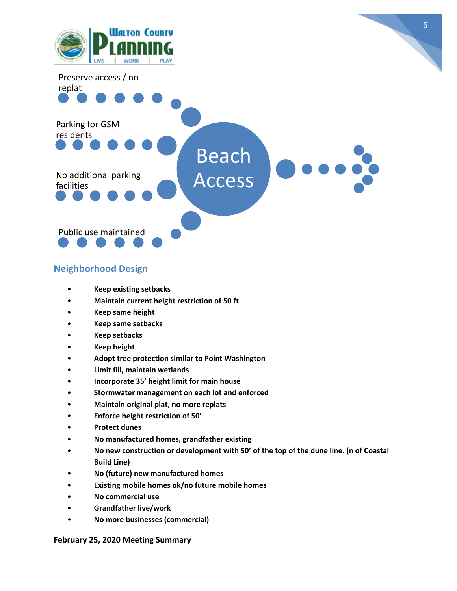

## **Neighborhood Design**

- **Keep existing setbacks**
- **Maintain current height restriction of 50 ft**
- **Keep same height**
- **Keep same setbacks**
- **Keep setbacks**
- **Keep height**
- **Adopt tree protection similar to Point Washington**
- **Limit fill, maintain wetlands**
- **Incorporate 35' height limit for main house**
- **Stormwater management on each lot and enforced**
- **Maintain original plat, no more replats**
- **Enforce height restriction of 50'**
- **Protect dunes**
- **No manufactured homes, grandfather existing**
- **No new construction or development with 50' of the top of the dune line. (n of Coastal Build Line)**
- **No (future) new manufactured homes**
- **Existing mobile homes ok/no future mobile homes**
- **No commercial use**
- **Grandfather live/work**
- **No more businesses (commercial)**

### **February 25, 2020 Meeting Summary**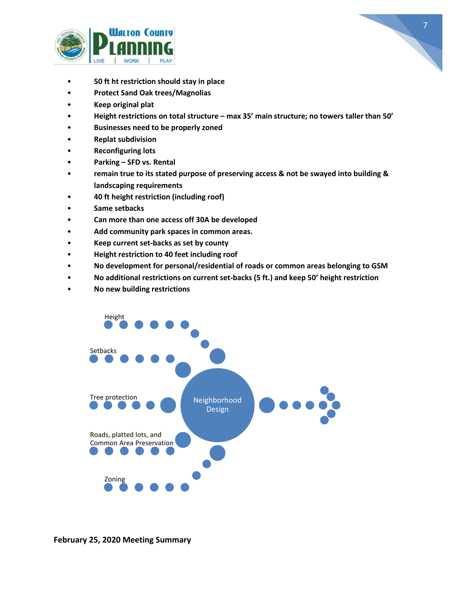



- **50 ft ht restriction should stay in place**
- **Protect Sand Oak trees/Magnolias**
- **Keep original plat**
- **Height restrictions on total structure – max 35' main structure; no towers taller than 50'**
- **Businesses need to be properly zoned**
- **Replat subdivision**
- **Reconfiguring lots**
- **Parking – SFD vs. Rental**
- **remain true to its stated purpose of preserving access & not be swayed into building & landscaping requirements**
- **40 ft height restriction (including roof)**
- **Same setbacks**
- **Can more than one access off 30A be developed**
- **Add community park spaces in common areas.**
- **Keep current set-backs as set by county**
- **Height restriction to 40 feet including roof**
- **No development for personal/residential of roads or common areas belonging to GSM**
- **No additional restrictions on current set-backs (5 ft.) and keep 50' height restriction**
- **No new building restrictions**

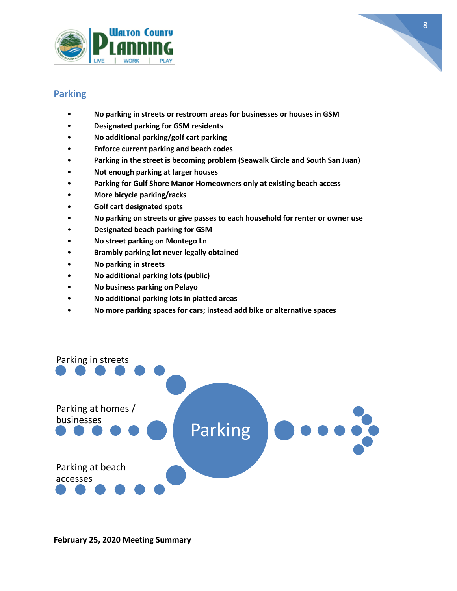



# **Parking**

- **No parking in streets or restroom areas for businesses or houses in GSM**
- **Designated parking for GSM residents**
- **No additional parking/golf cart parking**
- **Enforce current parking and beach codes**
- **Parking in the street is becoming problem (Seawalk Circle and South San Juan)**
- **Not enough parking at larger houses**
- **Parking for Gulf Shore Manor Homeowners only at existing beach access**
- **More bicycle parking/racks**
- **Golf cart designated spots**
- **No parking on streets or give passes to each household for renter or owner use**
- **Designated beach parking for GSM**
- **No street parking on Montego Ln**
- **Brambly parking lot never legally obtained**
- **No parking in streets**
- **No additional parking lots (public)**
- **No business parking on Pelayo**
- **No additional parking lots in platted areas**
- **No more parking spaces for cars; instead add bike or alternative spaces**